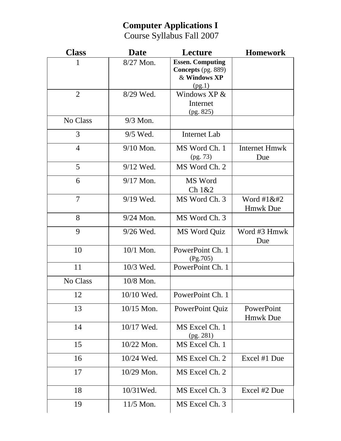## **Computer Applications I**

Course Syllabus Fall 2007

| <b>Class</b>   | <b>Date</b> | Lecture                                                                        | <b>Homework</b>                    |
|----------------|-------------|--------------------------------------------------------------------------------|------------------------------------|
| 1              | 8/27 Mon.   | <b>Essen. Computing</b><br><b>Concepts</b> (pg. 889)<br>& Windows XP<br>(pg.1) |                                    |
| $\overline{2}$ | 8/29 Wed.   | Windows $XP &$<br>Internet                                                     |                                    |
| No Class       | $9/3$ Mon.  | (pg. 825)                                                                      |                                    |
| 3              | 9/5 Wed.    | <b>Internet Lab</b>                                                            |                                    |
| $\overline{4}$ | $9/10$ Mon. | MS Word Ch. 1<br>(pg. 73)                                                      | Internet Hmwk<br>Due               |
| 5              | 9/12 Wed.   | MS Word Ch. 2                                                                  |                                    |
| 6              | 9/17 Mon.   | MS Word<br>Ch 1&2                                                              |                                    |
| $\overline{7}$ | $9/19$ Wed. | MS Word Ch. 3                                                                  | Word $\#1\&\#2$<br><b>Hmwk Due</b> |
| 8              | $9/24$ Mon. | MS Word Ch. 3                                                                  |                                    |
| 9              | $9/26$ Wed. | MS Word Quiz                                                                   | Word #3 Hmwk<br>Due                |
| 10             | $10/1$ Mon. | PowerPoint Ch. 1<br>(Pg.705)                                                   |                                    |
| 11             | 10/3 Wed.   | PowerPoint Ch. 1                                                               |                                    |
| No Class       | 10/8 Mon.   |                                                                                |                                    |
| 12             | 10/10 Wed.  | PowerPoint Ch. 1                                                               |                                    |
| 13             | 10/15 Mon.  | PowerPoint Quiz                                                                | PowerPoint<br><b>Hmwk Due</b>      |
| 14             | 10/17 Wed.  | MS Excel Ch. 1<br>(pg. 281)                                                    |                                    |
| 15             | 10/22 Mon.  | MS Excel Ch. 1                                                                 |                                    |
| 16             | 10/24 Wed.  | MS Excel Ch. 2                                                                 | Excel #1 Due                       |
| 17             | 10/29 Mon.  | MS Excel Ch. 2                                                                 |                                    |
| 18             | 10/31 Wed.  | MS Excel Ch. 3                                                                 | Excel #2 Due                       |
| 19             | 11/5 Mon.   | MS Excel Ch. 3                                                                 |                                    |